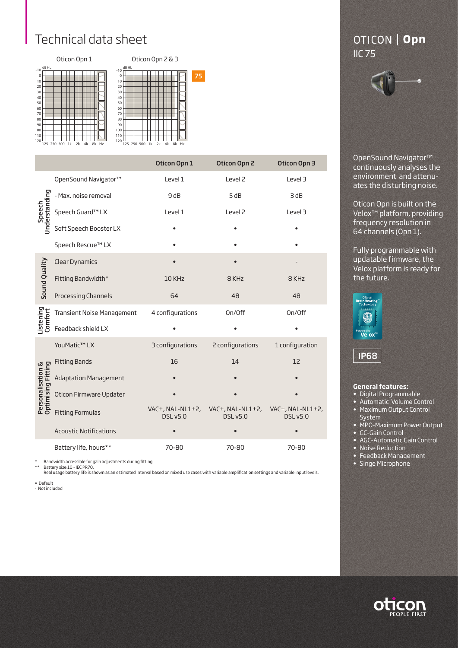## Technical data sheet



|                                         |                                   | Oticon Opn 1     | Oticon Opn 2                                         | Oticon Opn 3                        |  |
|-----------------------------------------|-----------------------------------|------------------|------------------------------------------------------|-------------------------------------|--|
|                                         | OpenSound Navigator™              | Level 1          | Level <sub>2</sub>                                   | Level 3                             |  |
| Speech<br>Jnderstanding                 | - Max. noise removal              | 9dB              | 5 dB                                                 | 3 dB                                |  |
|                                         | Speech Guard™ LX                  | Level 1          | Level <sub>2</sub>                                   | Level 3                             |  |
|                                         | Soft Speech Booster LX            |                  |                                                      |                                     |  |
|                                         | Speech Rescue™ LX                 |                  |                                                      |                                     |  |
|                                         | <b>Clear Dynamics</b>             |                  |                                                      |                                     |  |
| Sound Quality                           | Fitting Bandwidth*                | 10 KHz           | 8 KHz                                                | 8 KHz                               |  |
|                                         | Processing Channels               | 64               | 48                                                   | 48                                  |  |
| Listening<br>Comfort                    | <b>Transient Noise Management</b> | 4 configurations | On/Off                                               | On/Off                              |  |
|                                         | Feedback shield LX                |                  |                                                      |                                     |  |
|                                         | YouMatic™ LX                      | 3 configurations | 2 configurations                                     | 1 configuration                     |  |
|                                         | <b>Fitting Bands</b>              | 16               | 14                                                   | 12                                  |  |
| Optimising Fitting<br>Personalisation & | <b>Adaptation Management</b>      |                  |                                                      |                                     |  |
|                                         | Oticon Firmware Updater           |                  |                                                      |                                     |  |
|                                         | <b>Fitting Formulas</b>           | <b>DSL v5.0</b>  | VAC+, NAL-NL1+2, VAC+, NAL-NL1+2,<br><b>DSL v5.0</b> | VAC+, NAL-NL1+2,<br><b>DSL v5.0</b> |  |
|                                         | <b>Acoustic Notifications</b>     |                  |                                                      |                                     |  |
|                                         | Battery life, hours**             | 70-80            | 70-80                                                | 70-80                               |  |

\* Bandwidth accessible for gain adjustments during fitting \*\* Battery size 10 - IEC PR70.

Real usage battery life is shown as an estimated interval based on mixed use cases with variable amplification settings and variable input levels.

• Default

- Not included

## OTICON | Opn

OpenSound Navigator™ continuously analyses the environment and attenuates the disturbing noise.

Oticon Opn is built on the Velox™ platform, providing frequency resolution in 64 channels (Opn 1).

Fully programmable with updatable firmware, the Velox platform is ready for the future.



**IP68** 

## **General features:**

- Digital Programmable
- Automatic Volume Control
- Maximum Output Control System
- MPO-Maximum Power Output
- GC-Gain Control
- AGC-Automatic Gain Control
- Noise Reduction
- Feedback Management
- Singe Microphone